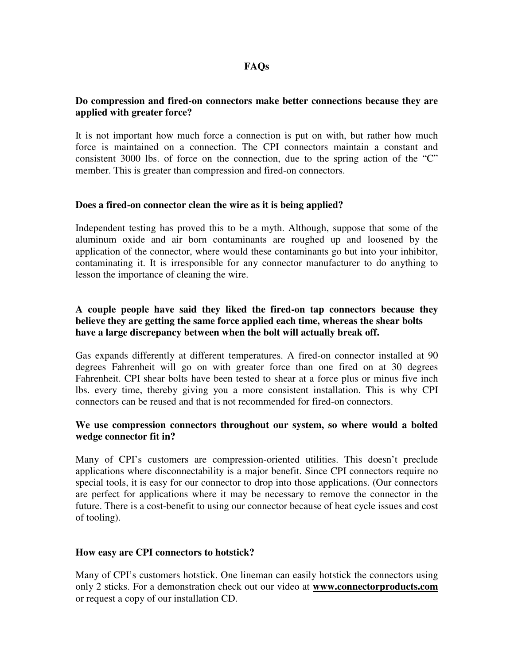# **FAQs**

### **Do compression and fired-on connectors make better connections because they are applied with greater force?**

It is not important how much force a connection is put on with, but rather how much force is maintained on a connection. The CPI connectors maintain a constant and consistent 3000 lbs. of force on the connection, due to the spring action of the "C" member. This is greater than compression and fired-on connectors.

#### **Does a fired-on connector clean the wire as it is being applied?**

Independent testing has proved this to be a myth. Although, suppose that some of the aluminum oxide and air born contaminants are roughed up and loosened by the application of the connector, where would these contaminants go but into your inhibitor, contaminating it. It is irresponsible for any connector manufacturer to do anything to lesson the importance of cleaning the wire.

## **A couple people have said they liked the fired-on tap connectors because they believe they are getting the same force applied each time, whereas the shear bolts have a large discrepancy between when the bolt will actually break off.**

Gas expands differently at different temperatures. A fired-on connector installed at 90 degrees Fahrenheit will go on with greater force than one fired on at 30 degrees Fahrenheit. CPI shear bolts have been tested to shear at a force plus or minus five inch lbs. every time, thereby giving you a more consistent installation. This is why CPI connectors can be reused and that is not recommended for fired-on connectors.

## **We use compression connectors throughout our system, so where would a bolted wedge connector fit in?**

Many of CPI's customers are compression-oriented utilities. This doesn't preclude applications where disconnectability is a major benefit. Since CPI connectors require no special tools, it is easy for our connector to drop into those applications. (Our connectors are perfect for applications where it may be necessary to remove the connector in the future. There is a cost-benefit to using our connector because of heat cycle issues and cost of tooling).

## **How easy are CPI connectors to hotstick?**

Many of CPI's customers hotstick. One lineman can easily hotstick the connectors using only 2 sticks. For a demonstration check out our video at **www.connectorproducts.com** or request a copy of our installation CD.